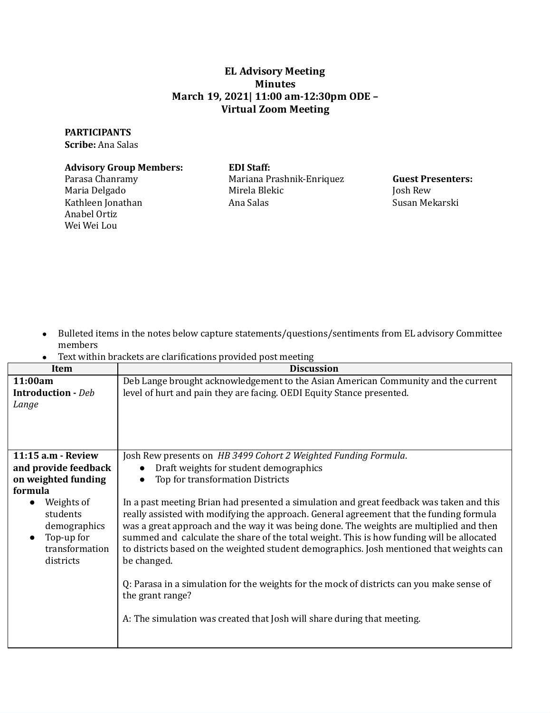## **EL Advisory Meeting Minutes March 19, 2021| 11:00 am-12:30pm ODE – Virtual Zoom Meeting Virtual Zoom Meeting**

## **PARTICIPANTS**

**Scribe:** Ana Salas

## **Advisory Group Members: EDI Staff:**

Parasa Chanramy Anabel Ortiz Wei Wei Lou

## **EDI** Staff:

 Maria Delgado Mirela Blekic Josh Rew Kathleen Jonathan Ana Salas Susan Mekarski Parasa Chanramy Mariana Prashnik-Enriquez **Guest Presenters:** Mirela Blekic Ana Salas

**Guest Presenters:** Josh Rew Susan Mekarski

- ● Bulleted items in the notes below capture statements/questions/sentiments from EL advisory Committee members
- Text within brackets are clariications provided post meeting

| Item                                                                                                          | <b>Discussion</b>                                                                                                                                                                                                                                                                                                                                                                                                                                                                      |
|---------------------------------------------------------------------------------------------------------------|----------------------------------------------------------------------------------------------------------------------------------------------------------------------------------------------------------------------------------------------------------------------------------------------------------------------------------------------------------------------------------------------------------------------------------------------------------------------------------------|
| 11:00am                                                                                                       | Deb Lange brought acknowledgement to the Asian American Community and the current                                                                                                                                                                                                                                                                                                                                                                                                      |
| <b>Introduction</b> - Deb                                                                                     | level of hurt and pain they are facing. OEDI Equity Stance presented.                                                                                                                                                                                                                                                                                                                                                                                                                  |
| Lange                                                                                                         |                                                                                                                                                                                                                                                                                                                                                                                                                                                                                        |
|                                                                                                               |                                                                                                                                                                                                                                                                                                                                                                                                                                                                                        |
|                                                                                                               |                                                                                                                                                                                                                                                                                                                                                                                                                                                                                        |
|                                                                                                               |                                                                                                                                                                                                                                                                                                                                                                                                                                                                                        |
| 11:15 a.m - Review                                                                                            | Josh Rew presents on HB 3499 Cohort 2 Weighted Funding Formula.                                                                                                                                                                                                                                                                                                                                                                                                                        |
| and provide feedback                                                                                          | Draft weights for student demographics                                                                                                                                                                                                                                                                                                                                                                                                                                                 |
| on weighted funding                                                                                           | Top for transformation Districts                                                                                                                                                                                                                                                                                                                                                                                                                                                       |
| formula                                                                                                       |                                                                                                                                                                                                                                                                                                                                                                                                                                                                                        |
| Weights of<br>$\bullet$<br>students<br>demographics<br>Top-up for<br>$\bullet$<br>transformation<br>districts | In a past meeting Brian had presented a simulation and great feedback was taken and this<br>really assisted with modifying the approach. General agreement that the funding formula<br>was a great approach and the way it was being done. The weights are multiplied and then<br>summed and calculate the share of the total weight. This is how funding will be allocated<br>to districts based on the weighted student demographics. Josh mentioned that weights can<br>be changed. |
|                                                                                                               | Q: Parasa in a simulation for the weights for the mock of districts can you make sense of<br>the grant range?                                                                                                                                                                                                                                                                                                                                                                          |
|                                                                                                               | A: The simulation was created that Josh will share during that meeting.                                                                                                                                                                                                                                                                                                                                                                                                                |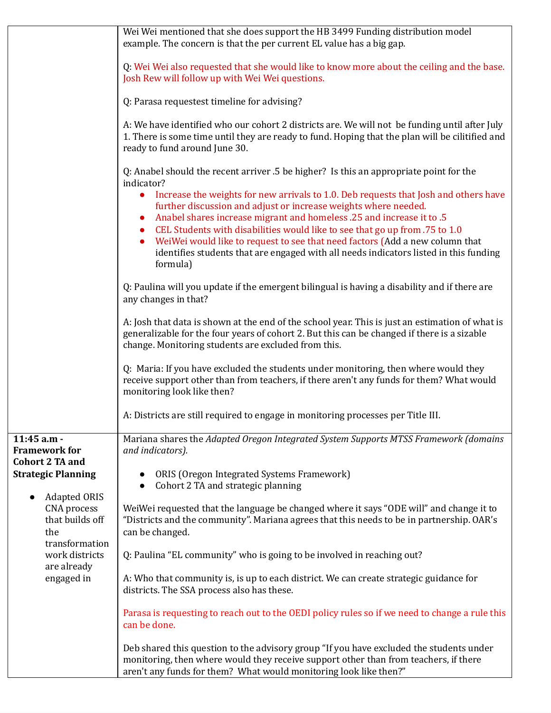|                                                                                                                                                                                | Wei Wei mentioned that she does support the HB 3499 Funding distribution model<br>example. The concern is that the per current EL value has a big gap.                                                                                                                                                                                                                                                                                                                                                            |
|--------------------------------------------------------------------------------------------------------------------------------------------------------------------------------|-------------------------------------------------------------------------------------------------------------------------------------------------------------------------------------------------------------------------------------------------------------------------------------------------------------------------------------------------------------------------------------------------------------------------------------------------------------------------------------------------------------------|
|                                                                                                                                                                                | Q: Wei Wei also requested that she would like to know more about the ceiling and the base.<br>Josh Rew will follow up with Wei Wei questions.                                                                                                                                                                                                                                                                                                                                                                     |
|                                                                                                                                                                                | Q: Parasa requestest timeline for advising?                                                                                                                                                                                                                                                                                                                                                                                                                                                                       |
|                                                                                                                                                                                | A: We have identified who our cohort 2 districts are. We will not be funding until after July<br>1. There is some time until they are ready to fund. Hoping that the plan will be cilitified and<br>ready to fund around June 30.                                                                                                                                                                                                                                                                                 |
|                                                                                                                                                                                | Q: Anabel should the recent arriver .5 be higher? Is this an appropriate point for the<br>indicator?                                                                                                                                                                                                                                                                                                                                                                                                              |
|                                                                                                                                                                                | Increase the weights for new arrivals to 1.0. Deb requests that Josh and others have<br>$\bullet$<br>further discussion and adjust or increase weights where needed.<br>Anabel shares increase migrant and homeless .25 and increase it to .5<br>CEL Students with disabilities would like to see that go up from .75 to 1.0<br>WeiWei would like to request to see that need factors (Add a new column that<br>identifies students that are engaged with all needs indicators listed in this funding<br>formula) |
|                                                                                                                                                                                | Q: Paulina will you update if the emergent bilingual is having a disability and if there are<br>any changes in that?                                                                                                                                                                                                                                                                                                                                                                                              |
|                                                                                                                                                                                | A: Josh that data is shown at the end of the school year. This is just an estimation of what is<br>generalizable for the four years of cohort 2. But this can be changed if there is a sizable<br>change. Monitoring students are excluded from this.                                                                                                                                                                                                                                                             |
|                                                                                                                                                                                | Q: Maria: If you have excluded the students under monitoring, then where would they<br>receive support other than from teachers, if there aren't any funds for them? What would<br>monitoring look like then?                                                                                                                                                                                                                                                                                                     |
|                                                                                                                                                                                | A: Districts are still required to engage in monitoring processes per Title III.                                                                                                                                                                                                                                                                                                                                                                                                                                  |
| $11:45$ a.m -<br><b>Framework for</b><br><b>Cohort 2 TA and</b><br><b>Strategic Planning</b><br><b>Adapted ORIS</b><br>CNA process<br>that builds off<br>the<br>transformation | Mariana shares the Adapted Oregon Integrated System Supports MTSS Framework (domains<br>and indicators).                                                                                                                                                                                                                                                                                                                                                                                                          |
|                                                                                                                                                                                | ORIS (Oregon Integrated Systems Framework)<br>Cohort 2 TA and strategic planning                                                                                                                                                                                                                                                                                                                                                                                                                                  |
|                                                                                                                                                                                | WeiWei requested that the language be changed where it says "ODE will" and change it to<br>"Districts and the community". Mariana agrees that this needs to be in partnership. OAR's<br>can be changed.                                                                                                                                                                                                                                                                                                           |
| work districts<br>are already                                                                                                                                                  | Q: Paulina "EL community" who is going to be involved in reaching out?                                                                                                                                                                                                                                                                                                                                                                                                                                            |
| engaged in                                                                                                                                                                     | A: Who that community is, is up to each district. We can create strategic guidance for<br>districts. The SSA process also has these.                                                                                                                                                                                                                                                                                                                                                                              |
|                                                                                                                                                                                | Parasa is requesting to reach out to the OEDI policy rules so if we need to change a rule this<br>can be done.                                                                                                                                                                                                                                                                                                                                                                                                    |
|                                                                                                                                                                                | Deb shared this question to the advisory group "If you have excluded the students under<br>monitoring, then where would they receive support other than from teachers, if there<br>aren't any funds for them? What would monitoring look like then?"                                                                                                                                                                                                                                                              |